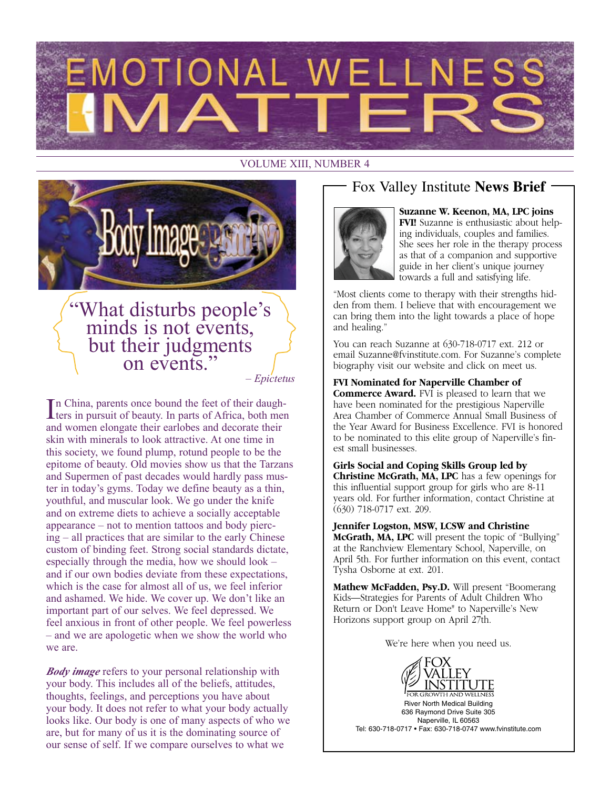

#### VOLUME XIII, NUMBER 4



### What disturbs people's minds is not events, but their judgments on events."

*– Epictetus*

In China, parents once bound the feet of their daugh-<br>ters in pursuit of beauty. In parts of Africa, both men n China, parents once bound the feet of their daughand women elongate their earlobes and decorate their skin with minerals to look attractive. At one time in this society, we found plump, rotund people to be the epitome of beauty. Old movies show us that the Tarzans and Supermen of past decades would hardly pass muster in today's gyms. Today we define beauty as a thin, youthful, and muscular look. We go under the knife and on extreme diets to achieve a socially acceptable appearance – not to mention tattoos and body piercing – all practices that are similar to the early Chinese custom of binding feet. Strong social standards dictate, especially through the media, how we should look – and if our own bodies deviate from these expectations, which is the case for almost all of us, we feel inferior and ashamed. We hide. We cover up. We don't like an important part of our selves. We feel depressed. We feel anxious in front of other people. We feel powerless – and we are apologetic when we show the world who we are.

*Body image* refers to your personal relationship with your body. This includes all of the beliefs, attitudes, thoughts, feelings, and perceptions you have about your body. It does not refer to what your body actually looks like. Our body is one of many aspects of who we are, but for many of us it is the dominating source of our sense of self. If we compare ourselves to what we

#### Fox Valley Institute **News Brief**



**Suzanne W. Keenon, MA, LPC joins FVI!** Suzanne is enthusiastic about helping individuals, couples and families. She sees her role in the therapy process as that of a companion and supportive guide in her client's unique journey towards a full and satisfying life.

"Most clients come to therapy with their strengths hidden from them. I believe that with encouragement we can bring them into the light towards a place of hope and healing."

You can reach Suzanne at 630-718-0717 ext. 212 or email Suzanne@fvinstitute.com. For Suzanne's complete biography visit our website and click on meet us.

**FVI Nominated for Naperville Chamber of Commerce Award.** FVI is pleased to learn that we have been nominated for the prestigious Naperville Area Chamber of Commerce Annual Small Business of the Year Award for Business Excellence. FVI is honored to be nominated to this elite group of Naperville's finest small businesses.

**Girls Social and Coping Skills Group led by Christine McGrath, MA, LPC** has a few openings for this influential support group for girls who are 8-11 years old. For further information, contact Christine at (630) 718-0717 ext. 209.

**Jennifer Logston, MSW, LCSW and Christine McGrath, MA, LPC** will present the topic of "Bullying" at the Ranchview Elementary School, Naperville, on April 5th. For further information on this event, contact Tysha Osborne at ext. 201.

**Mathew McFadden, Psy.D.** Will present "Boomerang Kids—Strategies for Parents of Adult Children Who Return or Don't Leave Home" to Naperville's New Horizons support group on April 27th.

We're here when you need us.

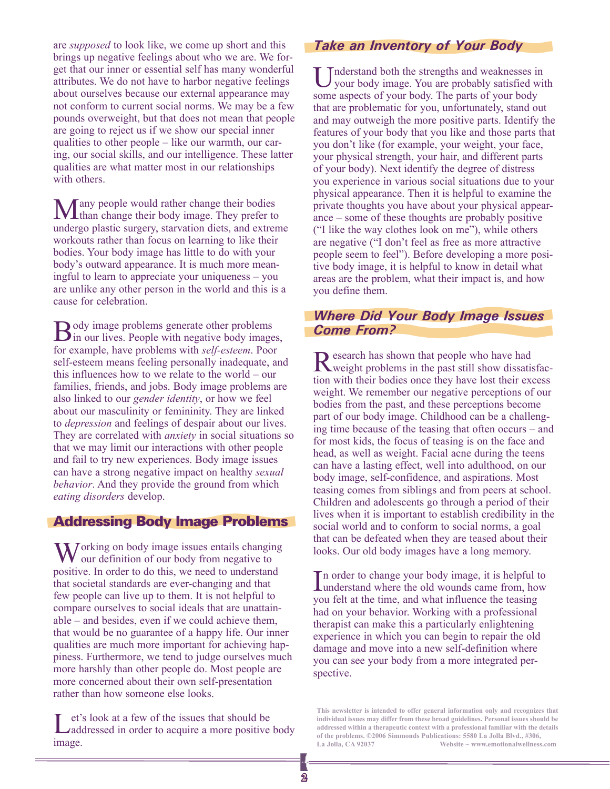are *supposed* to look like, we come up short and this brings up negative feelings about who we are. We forget that our inner or essential self has many wonderful attributes. We do not have to harbor negative feelings about ourselves because our external appearance may not conform to current social norms. We may be a few pounds overweight, but that does not mean that people are going to reject us if we show our special inner qualities to other people – like our warmth, our caring, our social skills, and our intelligence. These latter qualities are what matter most in our relationships with others.

Many people would rather change their bodies than change their body image. They prefer to undergo plastic surgery, starvation diets, and extreme workouts rather than focus on learning to like their bodies. Your body image has little to do with your body's outward appearance. It is much more meaningful to learn to appreciate your uniqueness – you are unlike any other person in the world and this is a cause for celebration.

**B**ody image problems generate other problems<br>in our lives. People with negative body images, for example, have problems with *self-esteem*. Poor self-esteem means feeling personally inadequate, and this influences how to we relate to the world – our families, friends, and jobs. Body image problems are also linked to our *gender identity*, or how we feel about our masculinity or femininity. They are linked to *depression* and feelings of despair about our lives. They are correlated with *anxiety* in social situations so that we may limit our interactions with other people and fail to try new experiences. Body image issues can have a strong negative impact on healthy *sexual behavior*. And they provide the ground from which *eating disorders* develop.

#### Addressing Body Image Problems

**N** Jorking on body image issues entails changing  $\bf{V}$  our definition of our body from negative to positive. In order to do this, we need to understand that societal standards are ever-changing and that few people can live up to them. It is not helpful to compare ourselves to social ideals that are unattainable – and besides, even if we could achieve them, that would be no guarantee of a happy life. Our inner qualities are much more important for achieving happiness. Furthermore, we tend to judge ourselves much more harshly than other people do. Most people are more concerned about their own self-presentation rather than how someone else looks.

Let's look at a few of the issues that should be addressed in order to acquire a more positive body image.

#### *Take an Inventory of Your Body*

Inderstand both the strengths and weaknesses in your body image. You are probably satisfied with some aspects of your body. The parts of your body that are problematic for you, unfortunately, stand out and may outweigh the more positive parts. Identify the features of your body that you like and those parts that you don't like (for example, your weight, your face, your physical strength, your hair, and different parts of your body). Next identify the degree of distress you experience in various social situations due to your physical appearance. Then it is helpful to examine the private thoughts you have about your physical appearance – some of these thoughts are probably positive ("I like the way clothes look on me"), while others are negative ("I don't feel as free as more attractive people seem to feel"). Before developing a more positive body image, it is helpful to know in detail what areas are the problem, what their impact is, and how you define them.

#### *Where Did Your Body Image Issues Come From?*

Research has shown that people who have had weight problems in the past still show dissatisfaction with their bodies once they have lost their excess weight. We remember our negative perceptions of our bodies from the past, and these perceptions become part of our body image. Childhood can be a challenging time because of the teasing that often occurs – and for most kids, the focus of teasing is on the face and head, as well as weight. Facial acne during the teens can have a lasting effect, well into adulthood, on our body image, self-confidence, and aspirations. Most teasing comes from siblings and from peers at school. Children and adolescents go through a period of their lives when it is important to establish credibility in the social world and to conform to social norms, a goal that can be defeated when they are teased about their looks. Our old body images have a long memory.

In order to change your body image, it is helpful to understand where the old wounds came from, how understand where the old wounds came from, how you felt at the time, and what influence the teasing had on your behavior. Working with a professional therapist can make this a particularly enlightening experience in which you can begin to repair the old damage and move into a new self-definition where you can see your body from a more integrated perspective.

**This newsletter is intended to offer general information only and recognizes that individual issues may differ from these broad guidelines. Personal issues should be addressed within a therapeutic context with a professional familiar with the details of the problems. ©2006 Simmonds Publications: 5580 La Jolla Blvd., #306, La Jolla, CA 92037 Website ~ www.emotionalwellness.com**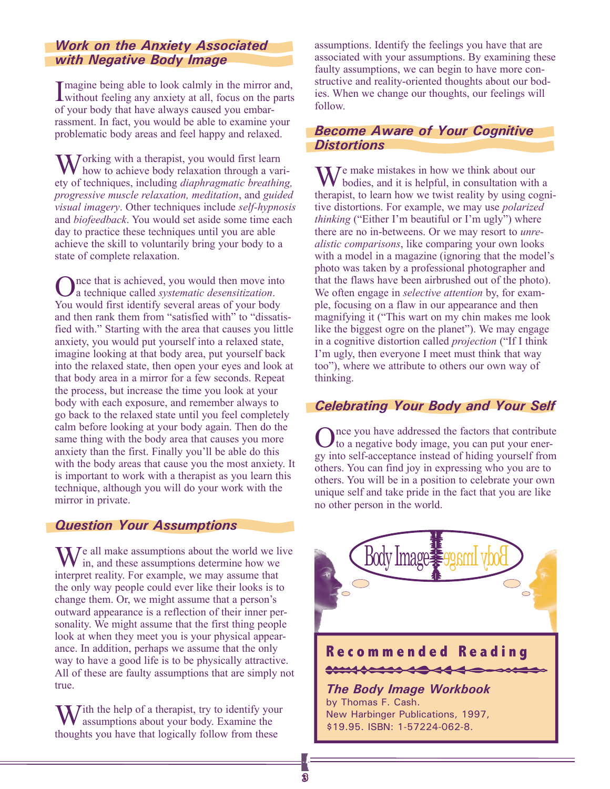#### *Work on the Anxiety Associated with Negative Body Image*

I magine being able to look calmly in the mirror and,<br>without feeling any anxiety at all, focus on the parts magine being able to look calmly in the mirror and, of your body that have always caused you embarrassment. In fact, you would be able to examine your problematic body areas and feel happy and relaxed.

 $\mathbf{W}$  orking with a therapist, you would first learn how to achieve body relaxation through a variety of techniques, including *diaphragmatic breathing, progressive muscle relaxation, meditation*, and *guided visual imagery*. Other techniques include *self-hypnosis* and *biofeedback*. You would set aside some time each day to practice these techniques until you are able achieve the skill to voluntarily bring your body to a state of complete relaxation.

Once that is achieved, you would then move into a technique called *systematic desensitization*. You would first identify several areas of your body and then rank them from "satisfied with" to "dissatisfied with." Starting with the area that causes you little anxiety, you would put yourself into a relaxed state, imagine looking at that body area, put yourself back into the relaxed state, then open your eyes and look at that body area in a mirror for a few seconds. Repeat the process, but increase the time you look at your body with each exposure, and remember always to go back to the relaxed state until you feel completely calm before looking at your body again. Then do the same thing with the body area that causes you more anxiety than the first. Finally you'll be able do this with the body areas that cause you the most anxiety. It is important to work with a therapist as you learn this technique, although you will do your work with the mirror in private.

#### *Question Your Assumptions*

 $\mathbf{W}^{\text{e}}$  all make assumptions about the world we live in, and these assumptions determine how we interpret reality. For example, we may assume that the only way people could ever like their looks is to change them. Or, we might assume that a person's outward appearance is a reflection of their inner personality. We might assume that the first thing people look at when they meet you is your physical appearance. In addition, perhaps we assume that the only way to have a good life is to be physically attractive. All of these are faulty assumptions that are simply not true.

 $\mathbf{W}$  ith the help of a therapist, try to identify your assumptions about your body. Examine the thoughts you have that logically follow from these

assumptions. Identify the feelings you have that are associated with your assumptions. By examining these faulty assumptions, we can begin to have more constructive and reality-oriented thoughts about our bodies. When we change our thoughts, our feelings will follow.

#### *Become Aware of Your Cognitive Distortions*

We make mistakes in how we think about our bodies, and it is helpful, in consultation with a therapist, to learn how we twist reality by using cognitive distortions. For example, we may use *polarized thinking* ("Either I'm beautiful or I'm ugly") where there are no in-betweens. Or we may resort to *unrealistic comparisons*, like comparing your own looks with a model in a magazine (ignoring that the model's photo was taken by a professional photographer and that the flaws have been airbrushed out of the photo). We often engage in *selective attention* by, for example, focusing on a flaw in our appearance and then magnifying it ("This wart on my chin makes me look like the biggest ogre on the planet"). We may engage in a cognitive distortion called *projection* ("If I think I'm ugly, then everyone I meet must think that way too"), where we attribute to others our own way of thinking.

#### *Celebrating Your Body and Your Self*

Once you have addressed the factors that contribute to a negative body image, you can put your energy into self-acceptance instead of hiding yourself from others. You can find joy in expressing who you are to others. You will be in a position to celebrate your own unique self and take pride in the fact that you are like no other person in the world.